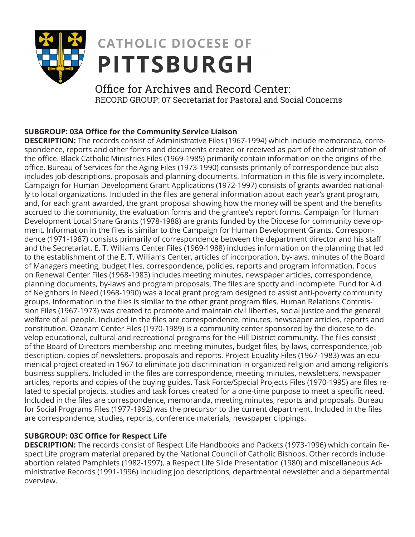

## **CATHOLIC DIOCESE OF PITTSBURGH**

Office for Archives and Record Center: RECORD GROUP: 07 Secretariat for Pastoral and Social Concerns

## **SUBGROUP: 03A Office for the Community Service Liaison**

**DESCRIPTION:** The records consist of Administrative Files (1967-1994) which include memoranda, correspondence, reports and other forms and documents created or received as part of the administration of the office. Black Catholic Ministries Files (1969-1985) primarily contain information on the origins of the office. Bureau of Services for the Aging Files (1973-1990) consists primarily of correspondence but also includes job descriptions, proposals and planning documents. Information in this file is very incomplete. Campaign for Human Development Grant Applications (1972-1997) consists of grants awarded nationally to local organizations. Included in the files are general information about each year's grant program, and, for each grant awarded, the grant proposal showing how the money will be spent and the benefits accrued to the community, the evaluation forms and the grantee's report forms. Campaign for Human Development Local Share Grants (1978-1988) are grants funded by the Diocese for community development. Information in the files is similar to the Campaign for Human Development Grants. Correspondence (1971-1987) consists primarily of correspondence between the department director and his staff and the Secretariat. E. T. Williams Center Files (1969-1988) includes information on the planning that led to the establishment of the E. T. Williams Center, articles of incorporation, by-laws, minutes of the Board of Managers meeting, budget files, correspondence, policies, reports and program information. Focus on Renewal Center Files (1968-1983) includes meeting minutes, newspaper articles, correspondence, planning documents, by-laws and program proposals. The files are spotty and incomplete. Fund for Aid of Neighbors in Need (1968-1990) was a local grant program designed to assist anti-poverty community groups. Information in the files is similar to the other grant program files. Human Relations Commission Files (1967-1973) was created to promote and maintain civil liberties, social justice and the general welfare of all people. Included in the files are correspondence, minutes, newspaper articles, reports and constitution. Ozanam Center Files (1970-1989) is a community center sponsored by the diocese to develop educational, cultural and recreational programs for the Hill District community. The files consist of the Board of Directors membership and meeting minutes, budget files, by-laws, correspondence, job description, copies of newsletters, proposals and reports. Project Equality Files (1967-1983) was an ecumenical project created in 1967 to eliminate job discrimination in organized religion and among religion's business suppliers. Included in the files are correspondence, meeting minutes, newsletters, newspaper articles, reports and copies of the buying guides. Task Force/Special Projects Files (1970-1995) are files related to special projects, studies and task forces created for a one-time purpose to meet a specific need. Included in the files are correspondence, memoranda, meeting minutes, reports and proposals. Bureau for Social Programs Files (1977-1992) was the precursor to the current department. Included in the files are correspondence, studies, reports, conference materials, newspaper clippings.

## **SUBGROUP: 03C Office for Respect Life**

**DESCRIPTION:** The records consist of Respect Life Handbooks and Packets (1973-1996) which contain Respect Life program material prepared by the National Council of Catholic Bishops. Other records include abortion related Pamphlets (1982-1997), a Respect Life Slide Presentation (1980) and miscellaneous Administrative Records (1991-1996) including job descriptions, departmental newsletter and a departmental overview.